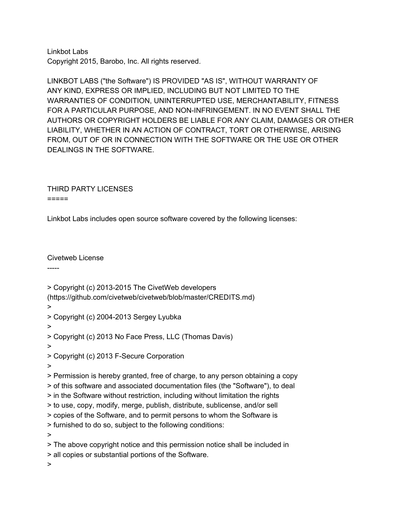Linkbot Labs Copyright 2015, Barobo, Inc. All rights reserved.

LINKBOT LABS ("the Software") IS PROVIDED "AS IS", WITHOUT WARRANTY OF ANY KIND, EXPRESS OR IMPLIED, INCLUDING BUT NOT LIMITED TO THE WARRANTIES OF CONDITION, UNINTERRUPTED USE, MERCHANTABILITY, FITNESS FOR A PARTICULAR PURPOSE, AND NON-INFRINGEMENT. IN NO EVENT SHALL THE AUTHORS OR COPYRIGHT HOLDERS BE LIABLE FOR ANY CLAIM, DAMAGES OR OTHER LIABILITY, WHETHER IN AN ACTION OF CONTRACT, TORT OR OTHERWISE, ARISING FROM, OUT OF OR IN CONNECTION WITH THE SOFTWARE OR THE USE OR OTHER DEALINGS IN THE SOFTWARE.

THIRD PARTY LICENSES  $=$ 

Linkbot Labs includes open source software covered by the following licenses:

Civetweb License

-----

> Copyright (c) 2013-2015 The CivetWeb developers

(https://github.com/civetweb/civetweb/blob/master/CREDITS.md)

>

> Copyright (c) 2004-2013 Sergey Lyubka

>

> Copyright (c) 2013 No Face Press, LLC (Thomas Davis)

>

> Copyright (c) 2013 F-Secure Corporation

>

> Permission is hereby granted, free of charge, to any person obtaining a copy > of this software and associated documentation files (the "Software"), to deal > in the Software without restriction, including without limitation the rights > to use, copy, modify, merge, publish, distribute, sublicense, and/or sell > copies of the Software, and to permit persons to whom the Software is > furnished to do so, subject to the following conditions: >

> The above copyright notice and this permission notice shall be included in > all copies or substantial portions of the Software.

>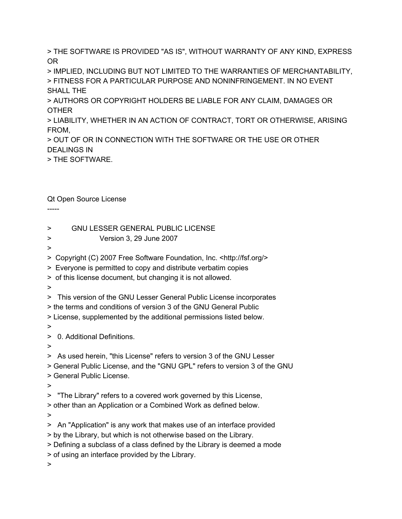> THE SOFTWARE IS PROVIDED "AS IS", WITHOUT WARRANTY OF ANY KIND, EXPRESS OR

> IMPLIED, INCLUDING BUT NOT LIMITED TO THE WARRANTIES OF MERCHANTABILITY, > FITNESS FOR A PARTICULAR PURPOSE AND NONINFRINGEMENT. IN NO EVENT SHALL THE

> AUTHORS OR COPYRIGHT HOLDERS BE LIABLE FOR ANY CLAIM, DAMAGES OR OTHER

> LIABILITY, WHETHER IN AN ACTION OF CONTRACT, TORT OR OTHERWISE, ARISING FROM,

> OUT OF OR IN CONNECTION WITH THE SOFTWARE OR THE USE OR OTHER DEALINGS IN

> THE SOFTWARE.

Qt Open Source License

-----

> GNU LESSER GENERAL PUBLIC LICENSE

- > Version 3, 29 June 2007
- >

> Copyright (C) 2007 Free Software Foundation, Inc. <http://fsf.org/>

> Everyone is permitted to copy and distribute verbatim copies

> of this license document, but changing it is not allowed.

>

> This version of the GNU Lesser General Public License incorporates

> the terms and conditions of version 3 of the GNU General Public

> License, supplemented by the additional permissions listed below.

>

> 0. Additional Definitions.

>

> As used herein, "this License" refers to version 3 of the GNU Lesser

> General Public License, and the "GNU GPL" refers to version 3 of the GNU

> General Public License.

>

> "The Library" refers to a covered work governed by this License,

> other than an Application or a Combined Work as defined below.

>

> An "Application" is any work that makes use of an interface provided

> by the Library, but which is not otherwise based on the Library.

> Defining a subclass of a class defined by the Library is deemed a mode

> of using an interface provided by the Library.

>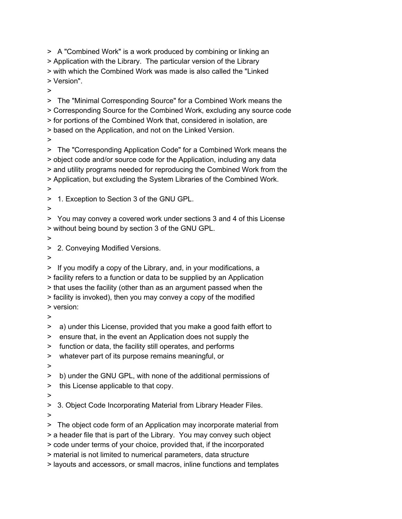> A "Combined Work" is a work produced by combining or linking an > Application with the Library. The particular version of the Library > with which the Combined Work was made is also called the "Linked > Version". > > The "Minimal Corresponding Source" for a Combined Work means the > Corresponding Source for the Combined Work, excluding any source code > for portions of the Combined Work that, considered in isolation, are > based on the Application, and not on the Linked Version. > > The "Corresponding Application Code" for a Combined Work means the > object code and/or source code for the Application, including any data > and utility programs needed for reproducing the Combined Work from the > Application, but excluding the System Libraries of the Combined Work. > > 1. Exception to Section 3 of the GNU GPL. > > You may convey a covered work under sections 3 and 4 of this License > without being bound by section 3 of the GNU GPL. > > 2. Conveying Modified Versions. > > If you modify a copy of the Library, and, in your modifications, a > facility refers to a function or data to be supplied by an Application > that uses the facility (other than as an argument passed when the > facility is invoked), then you may convey a copy of the modified > version: > > a) under this License, provided that you make a good faith effort to > ensure that, in the event an Application does not supply the > function or data, the facility still operates, and performs > whatever part of its purpose remains meaningful, or > > b) under the GNU GPL, with none of the additional permissions of > this License applicable to that copy. > > 3. Object Code Incorporating Material from Library Header Files. >

> The object code form of an Application may incorporate material from

> a header file that is part of the Library. You may convey such object > code under terms of your choice, provided that, if the incorporated

> material is not limited to numerical parameters, data structure

> layouts and accessors, or small macros, inline functions and templates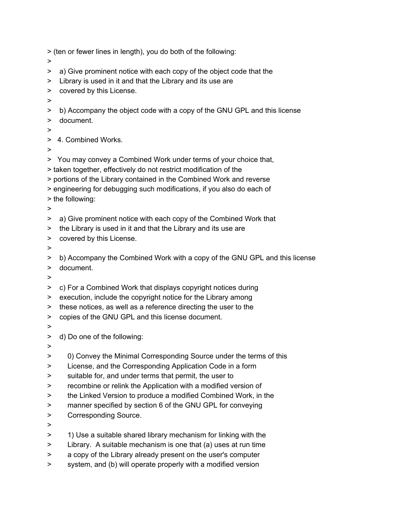> (ten or fewer lines in length), you do both of the following:

- >
- > a) Give prominent notice with each copy of the object code that the
- > Library is used in it and that the Library and its use are
- > covered by this License.
- >
- > b) Accompany the object code with a copy of the GNU GPL and this license
- > document.
- >

> 4. Combined Works.

>

> You may convey a Combined Work under terms of your choice that,

- > taken together, effectively do not restrict modification of the
- > portions of the Library contained in the Combined Work and reverse
- > engineering for debugging such modifications, if you also do each of
- > the following:
- >
- > a) Give prominent notice with each copy of the Combined Work that
- > the Library is used in it and that the Library and its use are
- > covered by this License.
- >

> b) Accompany the Combined Work with a copy of the GNU GPL and this license

- > document.
- >
- > c) For a Combined Work that displays copyright notices during
- > execution, include the copyright notice for the Library among
- > these notices, as well as a reference directing the user to the
- > copies of the GNU GPL and this license document.
- >
- > d) Do one of the following:
- >
- > 0) Convey the Minimal Corresponding Source under the terms of this
- > License, and the Corresponding Application Code in a form
- > suitable for, and under terms that permit, the user to
- > recombine or relink the Application with a modified version of
- > the Linked Version to produce a modified Combined Work, in the
- > manner specified by section 6 of the GNU GPL for conveying
- > Corresponding Source.
- >
- > 1) Use a suitable shared library mechanism for linking with the
- > Library. A suitable mechanism is one that (a) uses at run time
- > a copy of the Library already present on the user's computer
- > system, and (b) will operate properly with a modified version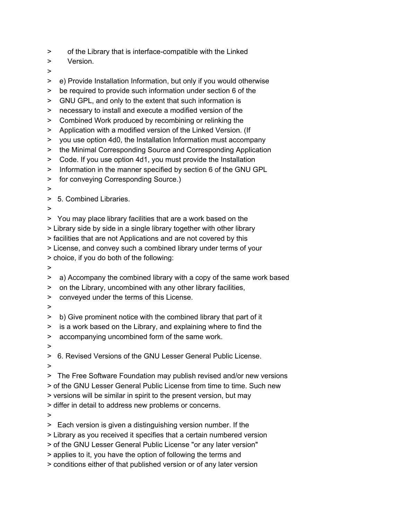- > of the Library that is interface-compatible with the Linked
- > Version.
- >
- > e) Provide Installation Information, but only if you would otherwise
- > be required to provide such information under section 6 of the
- > GNU GPL, and only to the extent that such information is
- > necessary to install and execute a modified version of the
- > Combined Work produced by recombining or relinking the
- > Application with a modified version of the Linked Version. (If
- > you use option 4d0, the Installation Information must accompany
- > the Minimal Corresponding Source and Corresponding Application
- > Code. If you use option 4d1, you must provide the Installation
- > Information in the manner specified by section 6 of the GNU GPL
- > for conveying Corresponding Source.)
- >
- > 5. Combined Libraries.
- >
- > You may place library facilities that are a work based on the
- > Library side by side in a single library together with other library

> facilities that are not Applications and are not covered by this

- > License, and convey such a combined library under terms of your
- > choice, if you do both of the following:
- >
- > a) Accompany the combined library with a copy of the same work based
- > on the Library, uncombined with any other library facilities,
- > conveyed under the terms of this License.
- >

> b) Give prominent notice with the combined library that part of it

- > is a work based on the Library, and explaining where to find the
- > accompanying uncombined form of the same work.
- >

> 6. Revised Versions of the GNU Lesser General Public License.

>

> The Free Software Foundation may publish revised and/or new versions > of the GNU Lesser General Public License from time to time. Such new > versions will be similar in spirit to the present version, but may > differ in detail to address new problems or concerns.

>

> Each version is given a distinguishing version number. If the

- > Library as you received it specifies that a certain numbered version
- > of the GNU Lesser General Public License "or any later version"
- > applies to it, you have the option of following the terms and
- > conditions either of that published version or of any later version